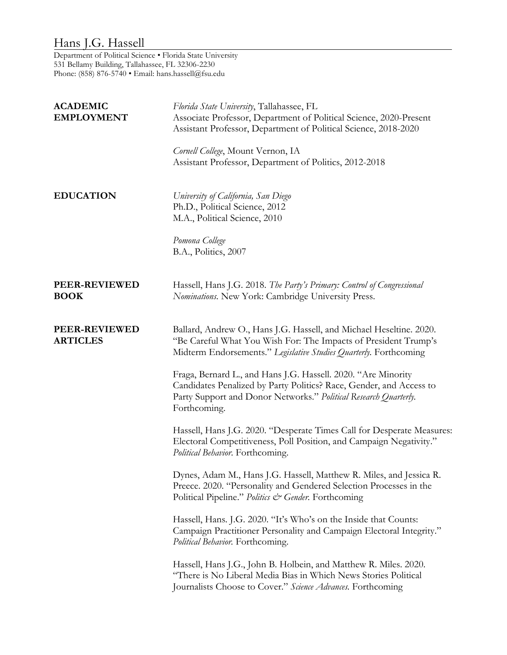## Hans J.G. Hassell

Department of Political Science • Florida State University 531 Bellamy Building, Tallahassee, FL 32306-2230 Phone: (858) 876-5740 · Email: hans.hassell@fsu.edu

| <b>ACADEMIC</b><br><b>EMPLOYMENT</b> | Florida State University, Tallahassee, FL<br>Associate Professor, Department of Political Science, 2020-Present<br>Assistant Professor, Department of Political Science, 2018-2020<br>Cornell College, Mount Vernon, IA<br>Assistant Professor, Department of Politics, 2012-2018 |
|--------------------------------------|-----------------------------------------------------------------------------------------------------------------------------------------------------------------------------------------------------------------------------------------------------------------------------------|
| <b>EDUCATION</b>                     | University of California, San Diego<br>Ph.D., Political Science, 2012<br>M.A., Political Science, 2010<br>Pomona College<br>B.A., Politics, 2007                                                                                                                                  |
| PEER-REVIEWED<br><b>BOOK</b>         | Hassell, Hans J.G. 2018. The Party's Primary: Control of Congressional<br>Nominations. New York: Cambridge University Press.                                                                                                                                                      |
| PEER-REVIEWED<br><b>ARTICLES</b>     | Ballard, Andrew O., Hans J.G. Hassell, and Michael Heseltine. 2020.<br>"Be Careful What You Wish For: The Impacts of President Trump's<br>Midterm Endorsements." Legislative Studies Quarterly. Forthcoming                                                                       |
|                                      | Fraga, Bernard L., and Hans J.G. Hassell. 2020. "Are Minority<br>Candidates Penalized by Party Politics? Race, Gender, and Access to<br>Party Support and Donor Networks." Political Research Quarterly.<br>Forthcoming.                                                          |
|                                      | Hassell, Hans J.G. 2020. "Desperate Times Call for Desperate Measures:<br>Electoral Competitiveness, Poll Position, and Campaign Negativity."<br>Political Behavior. Forthcoming.                                                                                                 |
|                                      | Dynes, Adam M., Hans J.G. Hassell, Matthew R. Miles, and Jessica R.<br>Preece. 2020. "Personality and Gendered Selection Processes in the<br>Political Pipeline." Politics & Gender. Forthcoming                                                                                  |
|                                      | Hassell, Hans. J.G. 2020. "It's Who's on the Inside that Counts:<br>Campaign Practitioner Personality and Campaign Electoral Integrity."<br>Political Behavior. Forthcoming.                                                                                                      |
|                                      | Hassell, Hans J.G., John B. Holbein, and Matthew R. Miles. 2020.<br>"There is No Liberal Media Bias in Which News Stories Political<br>Journalists Choose to Cover." Science Advances. Forthcoming                                                                                |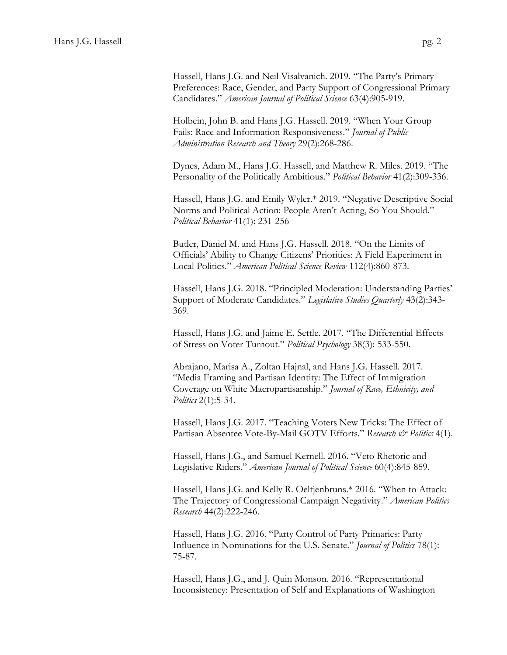Hassell, Hans J.G. and Neil Visalvanich. 2019. "The Party's Primary Preferences: Race, Gender, and Party Support of Congressional Primary Candidates." *American Journal of Political Science* 63(4):905-919.

Holbein, John B. and Hans J.G. Hassell. 2019. "When Your Group Fails: Race and Information Responsiveness." *Journal of Public Administration Research and Theory* 29(2):268-286.

Dynes, Adam M., Hans J.G. Hassell, and Matthew R. Miles. 2019. "The Personality of the Politically Ambitious." *Political Behavior* 41(2):309-336.

Hassell, Hans J.G. and Emily Wyler.\* 2019. "Negative Descriptive Social Norms and Political Action: People Aren't Acting, So You Should." *Political Behavior* 41(1): 231-256

Butler, Daniel M. and Hans J.G. Hassell. 2018. "On the Limits of Officials' Ability to Change Citizens' Priorities: A Field Experiment in Local Politics." *American Political Science Review* 112(4):860-873.

Hassell, Hans J.G. 2018. "Principled Moderation: Understanding Parties' Support of Moderate Candidates." *Legislative Studies Quarterly* 43(2):343- 369.

Hassell, Hans J.G. and Jaime E. Settle. 2017. "The Differential Effects of Stress on Voter Turnout." *Political Psychology* 38(3): 533-550.

Abrajano, Marisa A., Zoltan Hajnal, and Hans J.G. Hassell. 2017. "Media Framing and Partisan Identity: The Effect of Immigration Coverage on White Macropartisanship." *Journal of Race, Ethnicity, and Politics* 2(1):5-34.

Hassell, Hans J.G. 2017. "Teaching Voters New Tricks: The Effect of Partisan Absentee Vote-By-Mail GOTV Efforts." *Research & Politics* 4(1).

Hassell, Hans J.G., and Samuel Kernell. 2016. "Veto Rhetoric and Legislative Riders." *American Journal of Political Science* 60(4):845-859.

Hassell, Hans J.G. and Kelly R. Oeltjenbruns.\* 2016. "When to Attack: The Trajectory of Congressional Campaign Negativity." *American Politics Research* 44(2):222-246.

Hassell, Hans J.G. 2016. "Party Control of Party Primaries: Party Influence in Nominations for the U.S. Senate." *Journal of Politics* 78(1): 75-87.

Hassell, Hans J.G., and J. Quin Monson. 2016. "Representational Inconsistency: Presentation of Self and Explanations of Washington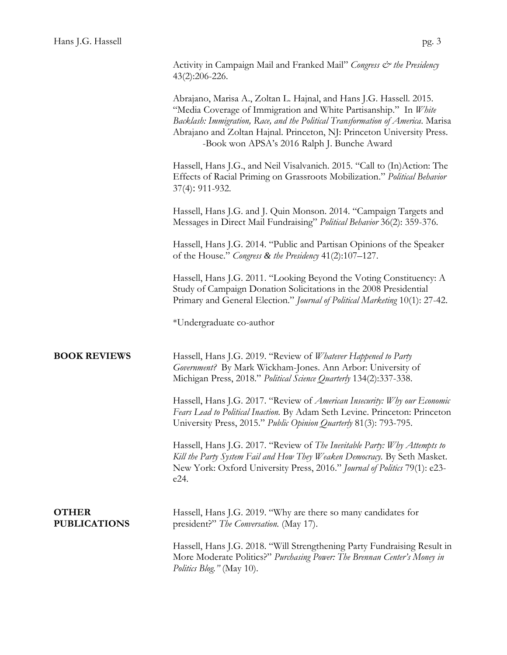Activity in Campaign Mail and Franked Mail" *Congress & the Presidency* 43(2):206-226.

Abrajano, Marisa A., Zoltan L. Hajnal, and Hans J.G. Hassell. 2015. "Media Coverage of Immigration and White Partisanship." In *White Backlash: Immigration, Race, and the Political Transformation of America*. Marisa Abrajano and Zoltan Hajnal. Princeton, NJ: Princeton University Press. -Book won APSA's 2016 Ralph J. Bunche Award

Hassell, Hans J.G., and Neil Visalvanich. 2015. "Call to (In)Action: The Effects of Racial Priming on Grassroots Mobilization." *Political Behavior* 37(4): 911-932.

Hassell, Hans J.G. and J. Quin Monson. 2014. "Campaign Targets and Messages in Direct Mail Fundraising" *Political Behavior* 36(2): 359-376.

Hassell, Hans J.G. 2014. "Public and Partisan Opinions of the Speaker of the House." *Congress & the Presidency* 41(2):107–127.

Hassell, Hans J.G. 2011. "Looking Beyond the Voting Constituency: A Study of Campaign Donation Solicitations in the 2008 Presidential Primary and General Election." *Journal of Political Marketing* 10(1): 27-42.

\*Undergraduate co-author

**BOOK REVIEWS** Hassell, Hans J.G. 2019. "Review of *Whatever Happened to Party Government?* By Mark Wickham-Jones. Ann Arbor: University of Michigan Press, 2018." *Political Science Quarterly* 134(2):337-338.

> Hassell, Hans J.G. 2017. "Review of *American Insecurity: Why our Economic Fears Lead to Political Inaction.* By Adam Seth Levine. Princeton: Princeton University Press, 2015." *Public Opinion Quarterly* 81(3): 793-795.

Hassell, Hans J.G. 2017. "Review of *The Inevitable Party: Why Attempts to Kill the Party System Fail and How They Weaken Democracy.* By Seth Masket. New York: Oxford University Press, 2016." *Journal of Politics* 79(1): e23 e24.

| <b>OTHER</b>        | Hassell, Hans J.G. 2019. "Why are there so many candidates for |
|---------------------|----------------------------------------------------------------|
| <b>PUBLICATIONS</b> | president?" The Conversation. (May 17).                        |

Hassell, Hans J.G. 2018. "Will Strengthening Party Fundraising Result in More Moderate Politics?" *Purchasing Power: The Brennan Center's Money in Politics Blog."* (May 10).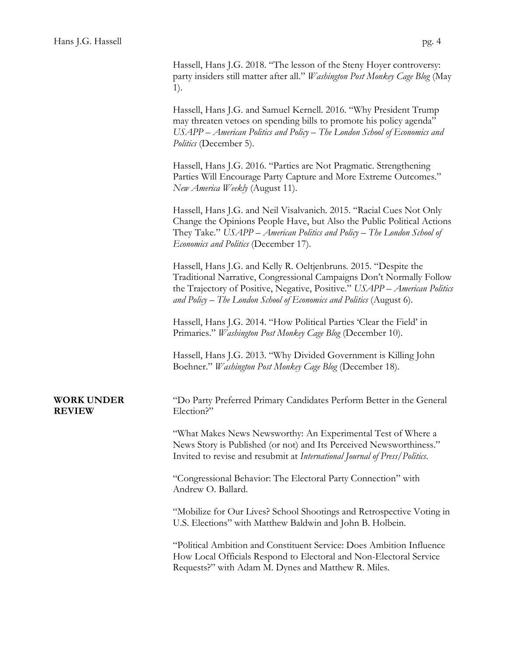Hassell, Hans J.G. 2018. "The lesson of the Steny Hoyer controversy: party insiders still matter after all." *Washington Post Monkey Cage Blog* (May 1).

Hassell, Hans J.G. and Samuel Kernell. 2016. "Why President Trump may threaten vetoes on spending bills to promote his policy agenda" *USAPP – American Politics and Policy – The London School of Economics and Politics* (December 5).

Hassell, Hans J.G. 2016. "Parties are Not Pragmatic. Strengthening Parties Will Encourage Party Capture and More Extreme Outcomes." *New America Weekly* (August 11).

Hassell, Hans J.G. and Neil Visalvanich. 2015. "Racial Cues Not Only Change the Opinions People Have, but Also the Public Political Actions They Take." *USAPP – American Politics and Policy – The London School of Economics and Politics* (December 17).

Hassell, Hans J.G. and Kelly R. Oeltjenbruns. 2015. "Despite the Traditional Narrative, Congressional Campaigns Don't Normally Follow the Trajectory of Positive, Negative, Positive." *USAPP – American Politics and Policy – The London School of Economics and Politics* (August 6).

Hassell, Hans J.G. 2014. "How Political Parties 'Clear the Field' in Primaries." *Washington Post Monkey Cage Blog* (December 10).

Hassell, Hans J.G. 2013. "Why Divided Government is Killing John Boehner." *Washington Post Monkey Cage Blog* (December 18).

## **REVIEW** Election?"

**WORK UNDER** "Do Party Preferred Primary Candidates Perform Better in the General

"What Makes News Newsworthy: An Experimental Test of Where a News Story is Published (or not) and Its Perceived Newsworthiness." Invited to revise and resubmit at *International Journal of Press/Politics*.

"Congressional Behavior: The Electoral Party Connection" with Andrew O. Ballard.

"Mobilize for Our Lives? School Shootings and Retrospective Voting in U.S. Elections" with Matthew Baldwin and John B. Holbein.

"Political Ambition and Constituent Service: Does Ambition Influence How Local Officials Respond to Electoral and Non-Electoral Service Requests?" with Adam M. Dynes and Matthew R. Miles.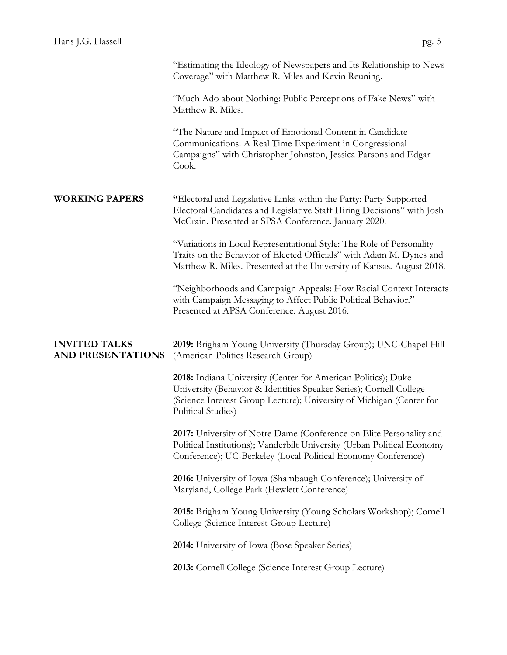|                                                  | Coverage" with Matthew R. Miles and Kevin Reuning.                                                                                                                                                                                |
|--------------------------------------------------|-----------------------------------------------------------------------------------------------------------------------------------------------------------------------------------------------------------------------------------|
|                                                  | "Much Ado about Nothing: Public Perceptions of Fake News" with<br>Matthew R. Miles.                                                                                                                                               |
|                                                  | "The Nature and Impact of Emotional Content in Candidate<br>Communications: A Real Time Experiment in Congressional<br>Campaigns" with Christopher Johnston, Jessica Parsons and Edgar<br>Cook.                                   |
| <b>WORKING PAPERS</b>                            | "Electoral and Legislative Links within the Party: Party Supported<br>Electoral Candidates and Legislative Staff Hiring Decisions" with Josh<br>McCrain. Presented at SPSA Conference. January 2020.                              |
|                                                  | "Variations in Local Representational Style: The Role of Personality<br>Traits on the Behavior of Elected Officials" with Adam M. Dynes and<br>Matthew R. Miles. Presented at the University of Kansas. August 2018.              |
|                                                  | "Neighborhoods and Campaign Appeals: How Racial Context Interacts<br>with Campaign Messaging to Affect Public Political Behavior."<br>Presented at APSA Conference. August 2016.                                                  |
| <b>INVITED TALKS</b><br><b>AND PRESENTATIONS</b> | 2019: Brigham Young University (Thursday Group); UNC-Chapel Hill<br>(American Politics Research Group)                                                                                                                            |
|                                                  | 2018: Indiana University (Center for American Politics); Duke<br>University (Behavior & Identities Speaker Series); Cornell College<br>(Science Interest Group Lecture); University of Michigan (Center for<br>Political Studies) |
|                                                  | 2017: University of Notre Dame (Conference on Elite Personality and<br>Political Institutions); Vanderbilt University (Urban Political Economy<br>Conference); UC-Berkeley (Local Political Economy Conference)                   |
|                                                  | 2016: University of Iowa (Shambaugh Conference); University of<br>Maryland, College Park (Hewlett Conference)                                                                                                                     |
|                                                  | 2015: Brigham Young University (Young Scholars Workshop); Cornell                                                                                                                                                                 |
|                                                  | College (Science Interest Group Lecture)                                                                                                                                                                                          |
|                                                  | <b>2014:</b> University of Iowa (Bose Speaker Series)                                                                                                                                                                             |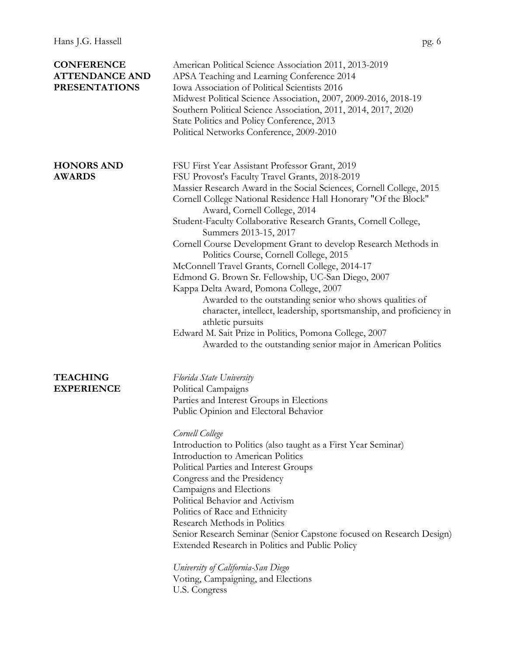| <b>CONFERENCE</b><br><b>ATTENDANCE AND</b><br><b>PRESENTATIONS</b> | American Political Science Association 2011, 2013-2019<br>APSA Teaching and Learning Conference 2014<br>Iowa Association of Political Scientists 2016<br>Midwest Political Science Association, 2007, 2009-2016, 2018-19<br>Southern Political Science Association, 2011, 2014, 2017, 2020<br>State Politics and Policy Conference, 2013<br>Political Networks Conference, 2009-2010                                                                                                                                                                                                                                                                                                                                                                                                                                                                                                                                         |
|--------------------------------------------------------------------|------------------------------------------------------------------------------------------------------------------------------------------------------------------------------------------------------------------------------------------------------------------------------------------------------------------------------------------------------------------------------------------------------------------------------------------------------------------------------------------------------------------------------------------------------------------------------------------------------------------------------------------------------------------------------------------------------------------------------------------------------------------------------------------------------------------------------------------------------------------------------------------------------------------------------|
| <b>HONORS AND</b><br><b>AWARDS</b>                                 | FSU First Year Assistant Professor Grant, 2019<br>FSU Provost's Faculty Travel Grants, 2018-2019<br>Massier Research Award in the Social Sciences, Cornell College, 2015<br>Cornell College National Residence Hall Honorary "Of the Block"<br>Award, Cornell College, 2014<br>Student-Faculty Collaborative Research Grants, Cornell College,<br>Summers 2013-15, 2017<br>Cornell Course Development Grant to develop Research Methods in<br>Politics Course, Cornell College, 2015<br>McConnell Travel Grants, Cornell College, 2014-17<br>Edmond G. Brown Sr. Fellowship, UC-San Diego, 2007<br>Kappa Delta Award, Pomona College, 2007<br>Awarded to the outstanding senior who shows qualities of<br>character, intellect, leadership, sportsmanship, and proficiency in<br>athletic pursuits<br>Edward M. Sait Prize in Politics, Pomona College, 2007<br>Awarded to the outstanding senior major in American Politics |
| <b>TEACHING</b><br><b>EXPERIENCE</b>                               | Florida State University<br>Political Campaigns<br>Parties and Interest Groups in Elections<br>Public Opinion and Electoral Behavior<br>Cornell College<br>Introduction to Politics (also taught as a First Year Seminar)<br>Introduction to American Politics<br>Political Parties and Interest Groups<br>Congress and the Presidency                                                                                                                                                                                                                                                                                                                                                                                                                                                                                                                                                                                       |

Campaigns and Elections Political Behavior and Activism Politics of Race and Ethnicity Research Methods in Politics

*University of California-San Diego* Voting, Campaigning, and Elections

U.S. Congress

Senior Research Seminar (Senior Capstone focused on Research Design)

Extended Research in Politics and Public Policy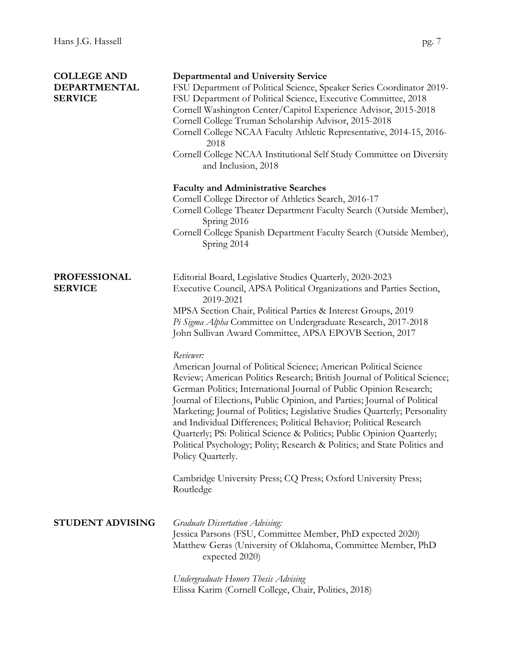| <b>COLLEGE AND</b><br>DEPARTMENTAL<br><b>SERVICE</b> | <b>Departmental and University Service</b><br>FSU Department of Political Science, Speaker Series Coordinator 2019-<br>FSU Department of Political Science, Executive Committee, 2018<br>Cornell Washington Center/Capitol Experience Advisor, 2015-2018<br>Cornell College Truman Scholarship Advisor, 2015-2018<br>Cornell College NCAA Faculty Athletic Representative, 2014-15, 2016-<br>2018<br>Cornell College NCAA Institutional Self Study Committee on Diversity<br>and Inclusion, 2018                                                                                                                                             |
|------------------------------------------------------|----------------------------------------------------------------------------------------------------------------------------------------------------------------------------------------------------------------------------------------------------------------------------------------------------------------------------------------------------------------------------------------------------------------------------------------------------------------------------------------------------------------------------------------------------------------------------------------------------------------------------------------------|
|                                                      | <b>Faculty and Administrative Searches</b><br>Cornell College Director of Athletics Search, 2016-17<br>Cornell College Theater Department Faculty Search (Outside Member),<br>Spring 2016<br>Cornell College Spanish Department Faculty Search (Outside Member),<br>Spring 2014                                                                                                                                                                                                                                                                                                                                                              |
| <b>PROFESSIONAL</b><br><b>SERVICE</b>                | Editorial Board, Legislative Studies Quarterly, 2020-2023<br>Executive Council, APSA Political Organizations and Parties Section,<br>2019-2021<br>MPSA Section Chair, Political Parties & Interest Groups, 2019<br>Pi Sigma Alpha Committee on Undergraduate Research, 2017-2018<br>John Sullivan Award Committee, APSA EPOVB Section, 2017                                                                                                                                                                                                                                                                                                  |
|                                                      | Reviewer:<br>American Journal of Political Science; American Political Science<br>Review; American Politics Research; British Journal of Political Science;<br>German Politics; International Journal of Public Opinion Research;<br>Journal of Elections, Public Opinion, and Parties; Journal of Political<br>Marketing; Journal of Politics; Legislative Studies Quarterly; Personality<br>and Individual Differences; Political Behavior; Political Research<br>Quarterly; PS: Political Science & Politics; Public Opinion Quarterly;<br>Political Psychology; Polity; Research & Politics; and State Politics and<br>Policy Quarterly. |
|                                                      | Cambridge University Press; CQ Press; Oxford University Press;<br>Routledge                                                                                                                                                                                                                                                                                                                                                                                                                                                                                                                                                                  |
| <b>STUDENT ADVISING</b>                              | Graduate Dissertation Advising:<br>Jessica Parsons (FSU, Committee Member, PhD expected 2020)<br>Matthew Geras (University of Oklahoma, Committee Member, PhD<br>expected 2020)                                                                                                                                                                                                                                                                                                                                                                                                                                                              |
|                                                      | Undergraduate Honors Thesis Advising<br>Elissa Karim (Cornell College, Chair, Politics, 2018)                                                                                                                                                                                                                                                                                                                                                                                                                                                                                                                                                |